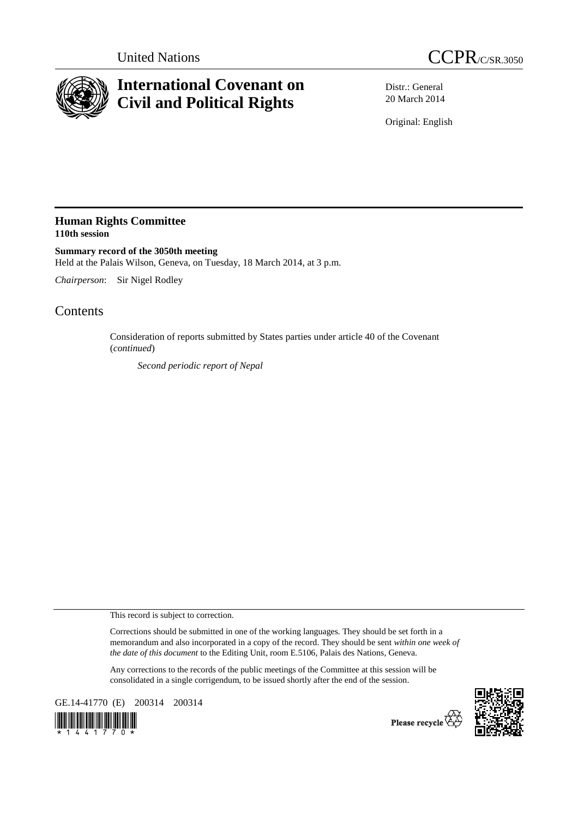



# **International Covenant on Civil and Political Rights**

Distr.: General 20 March 2014

Original: English

## **Human Rights Committee 110th session**

**Summary record of the 3050th meeting**  Held at the Palais Wilson, Geneva, on Tuesday, 18 March 2014, at 3 p.m.

*Chairperson*: Sir Nigel Rodley

## Contents

Consideration of reports submitted by States parties under article 40 of the Covenant (*continued*)

*Second periodic report of Nepal*

This record is subject to correction.

Corrections should be submitted in one of the working languages. They should be set forth in a memorandum and also incorporated in a copy of the record. They should be sent *within one week of the date of this document* to the Editing Unit, room E.5106, Palais des Nations, Geneva.

Any corrections to the records of the public meetings of the Committee at this session will be consolidated in a single corrigendum, to be issued shortly after the end of the session.

GE.14-41770 (E) 200314 200314





Please recycle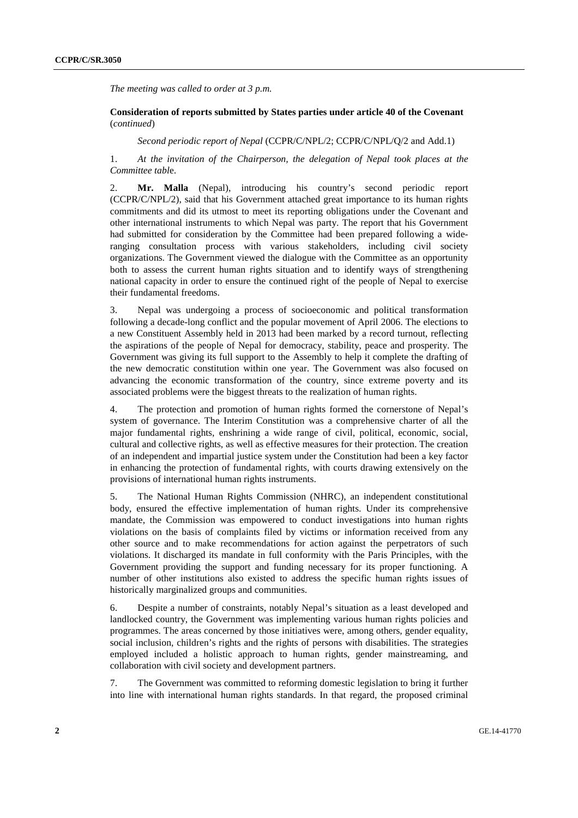*The meeting was called to order at 3 p.m.* 

### **Consideration of reports submitted by States parties under article 40 of the Covenant**  (*continued*)

 *Second periodic report of Nepal* (CCPR/C/NPL/2; CCPR/C/NPL/Q/2 and Add.1)

1. *At the invitation of the Chairperson, the delegation of Nepal took places at the Committee tabl*e.

2. **Mr. Malla** (Nepal), introducing his country's second periodic report (CCPR/C/NPL/2), said that his Government attached great importance to its human rights commitments and did its utmost to meet its reporting obligations under the Covenant and other international instruments to which Nepal was party. The report that his Government had submitted for consideration by the Committee had been prepared following a wideranging consultation process with various stakeholders, including civil society organizations. The Government viewed the dialogue with the Committee as an opportunity both to assess the current human rights situation and to identify ways of strengthening national capacity in order to ensure the continued right of the people of Nepal to exercise their fundamental freedoms.

3. Nepal was undergoing a process of socioeconomic and political transformation following a decade-long conflict and the popular movement of April 2006. The elections to a new Constituent Assembly held in 2013 had been marked by a record turnout, reflecting the aspirations of the people of Nepal for democracy, stability, peace and prosperity. The Government was giving its full support to the Assembly to help it complete the drafting of the new democratic constitution within one year. The Government was also focused on advancing the economic transformation of the country, since extreme poverty and its associated problems were the biggest threats to the realization of human rights.

4. The protection and promotion of human rights formed the cornerstone of Nepal's system of governance. The Interim Constitution was a comprehensive charter of all the major fundamental rights, enshrining a wide range of civil, political, economic, social, cultural and collective rights, as well as effective measures for their protection. The creation of an independent and impartial justice system under the Constitution had been a key factor in enhancing the protection of fundamental rights, with courts drawing extensively on the provisions of international human rights instruments.

5. The National Human Rights Commission (NHRC), an independent constitutional body, ensured the effective implementation of human rights. Under its comprehensive mandate, the Commission was empowered to conduct investigations into human rights violations on the basis of complaints filed by victims or information received from any other source and to make recommendations for action against the perpetrators of such violations. It discharged its mandate in full conformity with the Paris Principles, with the Government providing the support and funding necessary for its proper functioning. A number of other institutions also existed to address the specific human rights issues of historically marginalized groups and communities.

6. Despite a number of constraints, notably Nepal's situation as a least developed and landlocked country, the Government was implementing various human rights policies and programmes. The areas concerned by those initiatives were, among others, gender equality, social inclusion, children's rights and the rights of persons with disabilities. The strategies employed included a holistic approach to human rights, gender mainstreaming, and collaboration with civil society and development partners.

7. The Government was committed to reforming domestic legislation to bring it further into line with international human rights standards. In that regard, the proposed criminal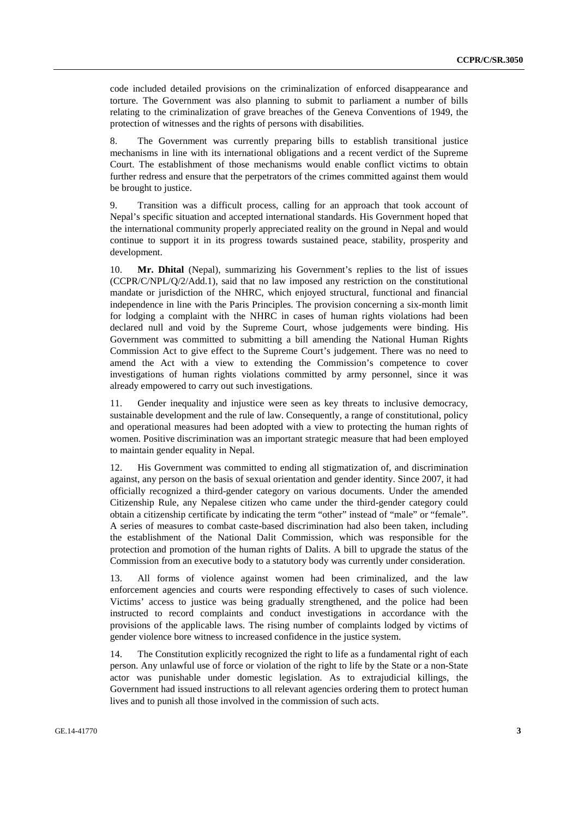code included detailed provisions on the criminalization of enforced disappearance and torture. The Government was also planning to submit to parliament a number of bills relating to the criminalization of grave breaches of the Geneva Conventions of 1949, the protection of witnesses and the rights of persons with disabilities.

8. The Government was currently preparing bills to establish transitional justice mechanisms in line with its international obligations and a recent verdict of the Supreme Court. The establishment of those mechanisms would enable conflict victims to obtain further redress and ensure that the perpetrators of the crimes committed against them would be brought to justice.

9. Transition was a difficult process, calling for an approach that took account of Nepal's specific situation and accepted international standards. His Government hoped that the international community properly appreciated reality on the ground in Nepal and would continue to support it in its progress towards sustained peace, stability, prosperity and development.

10. **Mr. Dhital** (Nepal), summarizing his Government's replies to the list of issues (CCPR/C/NPL/Q/2/Add.1), said that no law imposed any restriction on the constitutional mandate or jurisdiction of the NHRC, which enjoyed structural, functional and financial independence in line with the Paris Principles. The provision concerning a six-month limit for lodging a complaint with the NHRC in cases of human rights violations had been declared null and void by the Supreme Court, whose judgements were binding. His Government was committed to submitting a bill amending the National Human Rights Commission Act to give effect to the Supreme Court's judgement. There was no need to amend the Act with a view to extending the Commission's competence to cover investigations of human rights violations committed by army personnel, since it was already empowered to carry out such investigations.

11. Gender inequality and injustice were seen as key threats to inclusive democracy, sustainable development and the rule of law. Consequently, a range of constitutional, policy and operational measures had been adopted with a view to protecting the human rights of women. Positive discrimination was an important strategic measure that had been employed to maintain gender equality in Nepal.

12. His Government was committed to ending all stigmatization of, and discrimination against, any person on the basis of sexual orientation and gender identity. Since 2007, it had officially recognized a third-gender category on various documents. Under the amended Citizenship Rule, any Nepalese citizen who came under the third-gender category could obtain a citizenship certificate by indicating the term "other" instead of "male" or "female". A series of measures to combat caste-based discrimination had also been taken, including the establishment of the National Dalit Commission, which was responsible for the protection and promotion of the human rights of Dalits. A bill to upgrade the status of the Commission from an executive body to a statutory body was currently under consideration.

13. All forms of violence against women had been criminalized, and the law enforcement agencies and courts were responding effectively to cases of such violence. Victims' access to justice was being gradually strengthened, and the police had been instructed to record complaints and conduct investigations in accordance with the provisions of the applicable laws. The rising number of complaints lodged by victims of gender violence bore witness to increased confidence in the justice system.

14. The Constitution explicitly recognized the right to life as a fundamental right of each person. Any unlawful use of force or violation of the right to life by the State or a non-State actor was punishable under domestic legislation. As to extrajudicial killings, the Government had issued instructions to all relevant agencies ordering them to protect human lives and to punish all those involved in the commission of such acts.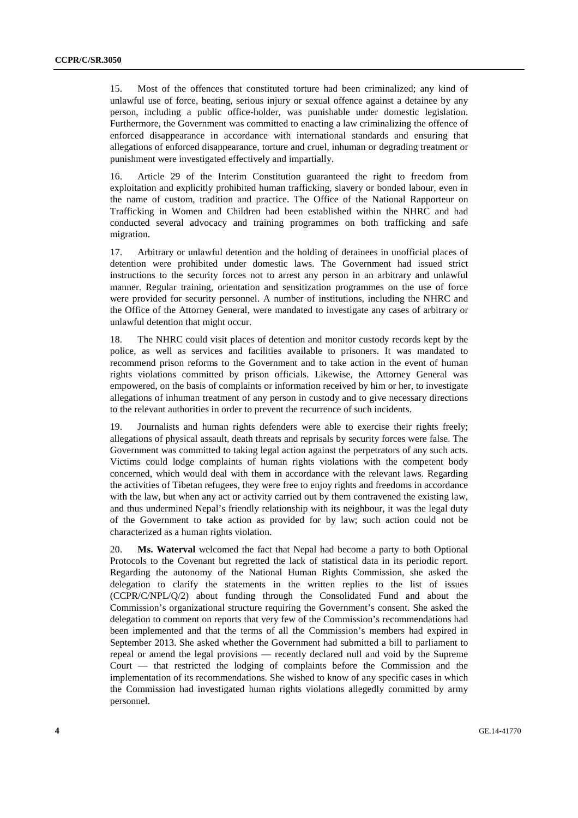15. Most of the offences that constituted torture had been criminalized; any kind of unlawful use of force, beating, serious injury or sexual offence against a detainee by any person, including a public office-holder, was punishable under domestic legislation. Furthermore, the Government was committed to enacting a law criminalizing the offence of enforced disappearance in accordance with international standards and ensuring that allegations of enforced disappearance, torture and cruel, inhuman or degrading treatment or punishment were investigated effectively and impartially.

16. Article 29 of the Interim Constitution guaranteed the right to freedom from exploitation and explicitly prohibited human trafficking, slavery or bonded labour, even in the name of custom, tradition and practice. The Office of the National Rapporteur on Trafficking in Women and Children had been established within the NHRC and had conducted several advocacy and training programmes on both trafficking and safe migration.

17. Arbitrary or unlawful detention and the holding of detainees in unofficial places of detention were prohibited under domestic laws. The Government had issued strict instructions to the security forces not to arrest any person in an arbitrary and unlawful manner. Regular training, orientation and sensitization programmes on the use of force were provided for security personnel. A number of institutions, including the NHRC and the Office of the Attorney General, were mandated to investigate any cases of arbitrary or unlawful detention that might occur.

18. The NHRC could visit places of detention and monitor custody records kept by the police, as well as services and facilities available to prisoners. It was mandated to recommend prison reforms to the Government and to take action in the event of human rights violations committed by prison officials. Likewise, the Attorney General was empowered, on the basis of complaints or information received by him or her, to investigate allegations of inhuman treatment of any person in custody and to give necessary directions to the relevant authorities in order to prevent the recurrence of such incidents.

19. Journalists and human rights defenders were able to exercise their rights freely; allegations of physical assault, death threats and reprisals by security forces were false. The Government was committed to taking legal action against the perpetrators of any such acts. Victims could lodge complaints of human rights violations with the competent body concerned, which would deal with them in accordance with the relevant laws. Regarding the activities of Tibetan refugees, they were free to enjoy rights and freedoms in accordance with the law, but when any act or activity carried out by them contravened the existing law. and thus undermined Nepal's friendly relationship with its neighbour, it was the legal duty of the Government to take action as provided for by law; such action could not be characterized as a human rights violation.

20. **Ms. Waterval** welcomed the fact that Nepal had become a party to both Optional Protocols to the Covenant but regretted the lack of statistical data in its periodic report. Regarding the autonomy of the National Human Rights Commission, she asked the delegation to clarify the statements in the written replies to the list of issues (CCPR/C/NPL/Q/2) about funding through the Consolidated Fund and about the Commission's organizational structure requiring the Government's consent. She asked the delegation to comment on reports that very few of the Commission's recommendations had been implemented and that the terms of all the Commission's members had expired in September 2013. She asked whether the Government had submitted a bill to parliament to repeal or amend the legal provisions — recently declared null and void by the Supreme Court — that restricted the lodging of complaints before the Commission and the implementation of its recommendations. She wished to know of any specific cases in which the Commission had investigated human rights violations allegedly committed by army personnel.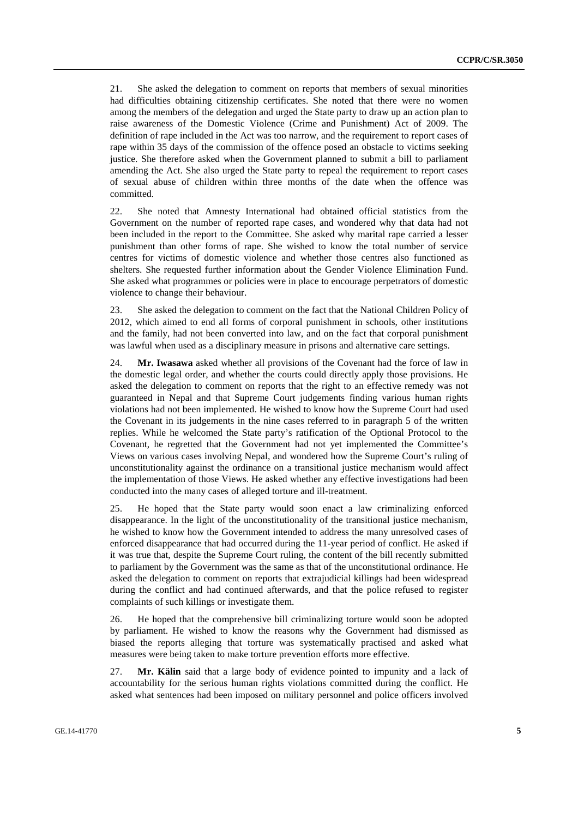21. She asked the delegation to comment on reports that members of sexual minorities had difficulties obtaining citizenship certificates. She noted that there were no women among the members of the delegation and urged the State party to draw up an action plan to raise awareness of the Domestic Violence (Crime and Punishment) Act of 2009. The definition of rape included in the Act was too narrow, and the requirement to report cases of rape within 35 days of the commission of the offence posed an obstacle to victims seeking justice. She therefore asked when the Government planned to submit a bill to parliament amending the Act. She also urged the State party to repeal the requirement to report cases of sexual abuse of children within three months of the date when the offence was committed.

22. She noted that Amnesty International had obtained official statistics from the Government on the number of reported rape cases, and wondered why that data had not been included in the report to the Committee. She asked why marital rape carried a lesser punishment than other forms of rape. She wished to know the total number of service centres for victims of domestic violence and whether those centres also functioned as shelters. She requested further information about the Gender Violence Elimination Fund. She asked what programmes or policies were in place to encourage perpetrators of domestic violence to change their behaviour.

23. She asked the delegation to comment on the fact that the National Children Policy of 2012, which aimed to end all forms of corporal punishment in schools, other institutions and the family, had not been converted into law, and on the fact that corporal punishment was lawful when used as a disciplinary measure in prisons and alternative care settings.

24. **Mr. Iwasawa** asked whether all provisions of the Covenant had the force of law in the domestic legal order, and whether the courts could directly apply those provisions. He asked the delegation to comment on reports that the right to an effective remedy was not guaranteed in Nepal and that Supreme Court judgements finding various human rights violations had not been implemented. He wished to know how the Supreme Court had used the Covenant in its judgements in the nine cases referred to in paragraph 5 of the written replies. While he welcomed the State party's ratification of the Optional Protocol to the Covenant, he regretted that the Government had not yet implemented the Committee's Views on various cases involving Nepal, and wondered how the Supreme Court's ruling of unconstitutionality against the ordinance on a transitional justice mechanism would affect the implementation of those Views. He asked whether any effective investigations had been conducted into the many cases of alleged torture and ill-treatment.

25. He hoped that the State party would soon enact a law criminalizing enforced disappearance. In the light of the unconstitutionality of the transitional justice mechanism, he wished to know how the Government intended to address the many unresolved cases of enforced disappearance that had occurred during the 11-year period of conflict. He asked if it was true that, despite the Supreme Court ruling, the content of the bill recently submitted to parliament by the Government was the same as that of the unconstitutional ordinance. He asked the delegation to comment on reports that extrajudicial killings had been widespread during the conflict and had continued afterwards, and that the police refused to register complaints of such killings or investigate them.

26. He hoped that the comprehensive bill criminalizing torture would soon be adopted by parliament. He wished to know the reasons why the Government had dismissed as biased the reports alleging that torture was systematically practised and asked what measures were being taken to make torture prevention efforts more effective.

27. **Mr. Kälin** said that a large body of evidence pointed to impunity and a lack of accountability for the serious human rights violations committed during the conflict. He asked what sentences had been imposed on military personnel and police officers involved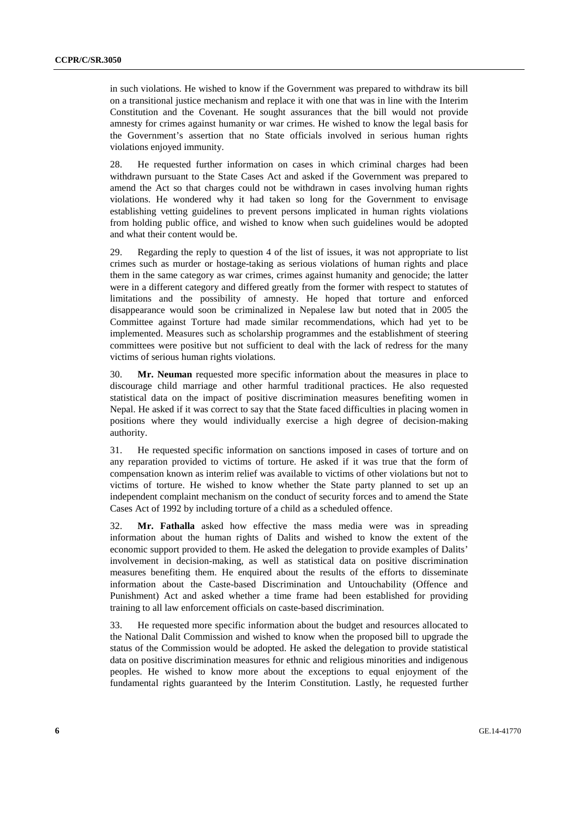in such violations. He wished to know if the Government was prepared to withdraw its bill on a transitional justice mechanism and replace it with one that was in line with the Interim Constitution and the Covenant. He sought assurances that the bill would not provide amnesty for crimes against humanity or war crimes. He wished to know the legal basis for the Government's assertion that no State officials involved in serious human rights violations enjoyed immunity.

28. He requested further information on cases in which criminal charges had been withdrawn pursuant to the State Cases Act and asked if the Government was prepared to amend the Act so that charges could not be withdrawn in cases involving human rights violations. He wondered why it had taken so long for the Government to envisage establishing vetting guidelines to prevent persons implicated in human rights violations from holding public office, and wished to know when such guidelines would be adopted and what their content would be.

29. Regarding the reply to question 4 of the list of issues, it was not appropriate to list crimes such as murder or hostage-taking as serious violations of human rights and place them in the same category as war crimes, crimes against humanity and genocide; the latter were in a different category and differed greatly from the former with respect to statutes of limitations and the possibility of amnesty. He hoped that torture and enforced disappearance would soon be criminalized in Nepalese law but noted that in 2005 the Committee against Torture had made similar recommendations, which had yet to be implemented. Measures such as scholarship programmes and the establishment of steering committees were positive but not sufficient to deal with the lack of redress for the many victims of serious human rights violations.

30. **Mr. Neuman** requested more specific information about the measures in place to discourage child marriage and other harmful traditional practices. He also requested statistical data on the impact of positive discrimination measures benefiting women in Nepal. He asked if it was correct to say that the State faced difficulties in placing women in positions where they would individually exercise a high degree of decision-making authority.

31. He requested specific information on sanctions imposed in cases of torture and on any reparation provided to victims of torture. He asked if it was true that the form of compensation known as interim relief was available to victims of other violations but not to victims of torture. He wished to know whether the State party planned to set up an independent complaint mechanism on the conduct of security forces and to amend the State Cases Act of 1992 by including torture of a child as a scheduled offence.

32. **Mr. Fathalla** asked how effective the mass media were was in spreading information about the human rights of Dalits and wished to know the extent of the economic support provided to them. He asked the delegation to provide examples of Dalits' involvement in decision-making, as well as statistical data on positive discrimination measures benefiting them. He enquired about the results of the efforts to disseminate information about the Caste-based Discrimination and Untouchability (Offence and Punishment) Act and asked whether a time frame had been established for providing training to all law enforcement officials on caste-based discrimination.

33. He requested more specific information about the budget and resources allocated to the National Dalit Commission and wished to know when the proposed bill to upgrade the status of the Commission would be adopted. He asked the delegation to provide statistical data on positive discrimination measures for ethnic and religious minorities and indigenous peoples. He wished to know more about the exceptions to equal enjoyment of the fundamental rights guaranteed by the Interim Constitution. Lastly, he requested further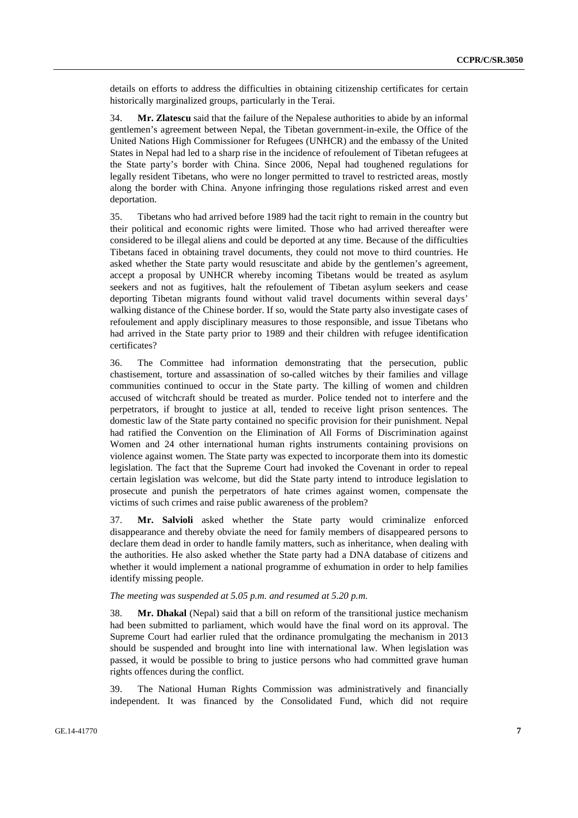details on efforts to address the difficulties in obtaining citizenship certificates for certain historically marginalized groups, particularly in the Terai.

34. **Mr. Zlatescu** said that the failure of the Nepalese authorities to abide by an informal gentlemen's agreement between Nepal, the Tibetan government-in-exile, the Office of the United Nations High Commissioner for Refugees (UNHCR) and the embassy of the United States in Nepal had led to a sharp rise in the incidence of refoulement of Tibetan refugees at the State party's border with China. Since 2006, Nepal had toughened regulations for legally resident Tibetans, who were no longer permitted to travel to restricted areas, mostly along the border with China. Anyone infringing those regulations risked arrest and even deportation.

35. Tibetans who had arrived before 1989 had the tacit right to remain in the country but their political and economic rights were limited. Those who had arrived thereafter were considered to be illegal aliens and could be deported at any time. Because of the difficulties Tibetans faced in obtaining travel documents, they could not move to third countries. He asked whether the State party would resuscitate and abide by the gentlemen's agreement, accept a proposal by UNHCR whereby incoming Tibetans would be treated as asylum seekers and not as fugitives, halt the refoulement of Tibetan asylum seekers and cease deporting Tibetan migrants found without valid travel documents within several days' walking distance of the Chinese border. If so, would the State party also investigate cases of refoulement and apply disciplinary measures to those responsible, and issue Tibetans who had arrived in the State party prior to 1989 and their children with refugee identification certificates?

36. The Committee had information demonstrating that the persecution, public chastisement, torture and assassination of so-called witches by their families and village communities continued to occur in the State party. The killing of women and children accused of witchcraft should be treated as murder. Police tended not to interfere and the perpetrators, if brought to justice at all, tended to receive light prison sentences. The domestic law of the State party contained no specific provision for their punishment. Nepal had ratified the Convention on the Elimination of All Forms of Discrimination against Women and 24 other international human rights instruments containing provisions on violence against women. The State party was expected to incorporate them into its domestic legislation. The fact that the Supreme Court had invoked the Covenant in order to repeal certain legislation was welcome, but did the State party intend to introduce legislation to prosecute and punish the perpetrators of hate crimes against women, compensate the victims of such crimes and raise public awareness of the problem?

37. **Mr. Salvioli** asked whether the State party would criminalize enforced disappearance and thereby obviate the need for family members of disappeared persons to declare them dead in order to handle family matters, such as inheritance, when dealing with the authorities. He also asked whether the State party had a DNA database of citizens and whether it would implement a national programme of exhumation in order to help families identify missing people.

#### *The meeting was suspended at 5.05 p.m. and resumed at 5.20 p.m.*

38. **Mr. Dhakal** (Nepal) said that a bill on reform of the transitional justice mechanism had been submitted to parliament, which would have the final word on its approval. The Supreme Court had earlier ruled that the ordinance promulgating the mechanism in 2013 should be suspended and brought into line with international law. When legislation was passed, it would be possible to bring to justice persons who had committed grave human rights offences during the conflict.

39. The National Human Rights Commission was administratively and financially independent. It was financed by the Consolidated Fund, which did not require